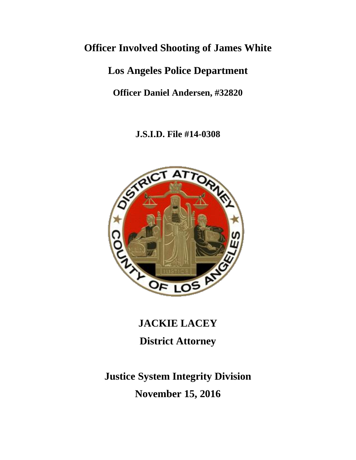# **Officer Involved Shooting of James White**

# **Los Angeles Police Department**

**Officer Daniel Andersen, #32820**

**J.S.I.D. File #14-0308**



# **JACKIE LACEY District Attorney**

# **Justice System Integrity Division November 15, 2016**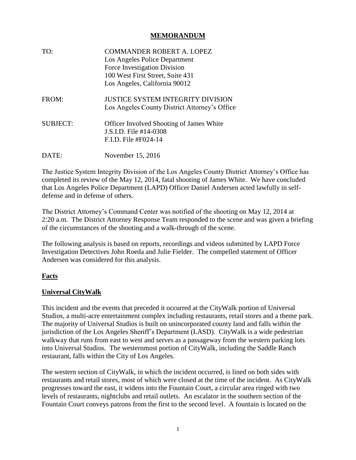#### **MEMORANDUM**

| TO:             | <b>COMMANDER ROBERT A. LOPEZ</b><br>Los Angeles Police Department |  |  |
|-----------------|-------------------------------------------------------------------|--|--|
|                 |                                                                   |  |  |
|                 | Force Investigation Division                                      |  |  |
|                 | 100 West First Street, Suite 431                                  |  |  |
|                 | Los Angeles, California 90012                                     |  |  |
| FROM:           | JUSTICE SYSTEM INTEGRITY DIVISION                                 |  |  |
|                 | Los Angeles County District Attorney's Office                     |  |  |
| <b>SUBJECT:</b> | <b>Officer Involved Shooting of James White</b>                   |  |  |
|                 | J.S.I.D. File #14-0308                                            |  |  |
|                 | F.I.D. File #F024-14                                              |  |  |
| DATE:           | November 15, 2016                                                 |  |  |

The Justice System Integrity Division of the Los Angeles County District Attorney's Office has completed its review of the May 12, 2014, fatal shooting of James White. We have concluded that Los Angeles Police Department (LAPD) Officer Daniel Andersen acted lawfully in selfdefense and in defense of others.

The District Attorney's Command Center was notified of the shooting on May 12, 2014 at 2:20 a.m. The District Attorney Response Team responded to the scene and was given a briefing of the circumstances of the shooting and a walk-through of the scene.

The following analysis is based on reports, recordings and videos submitted by LAPD Force Investigation Detectives John Roeda and Julie Fielder. The compelled statement of Officer Andersen was considered for this analysis.

### **Facts**

### **Universal CityWalk**

This incident and the events that preceded it occurred at the CityWalk portion of Universal Studios, a multi-acre entertainment complex including restaurants, retail stores and a theme park. The majority of Universal Studios is built on unincorporated county land and falls within the jurisdiction of the Los Angeles Sheriff's Department (LASD). CityWalk is a wide pedestrian walkway that runs from east to west and serves as a passageway from the western parking lots into Universal Studios. The westernmost portion of CityWalk, including the Saddle Ranch restaurant, falls within the City of Los Angeles.

The western section of CityWalk, in which the incident occurred, is lined on both sides with restaurants and retail stores, most of which were closed at the time of the incident. As CityWalk progresses toward the east, it widens into the Fountain Court, a circular area ringed with two levels of restaurants, nightclubs and retail outlets. An escalator in the southern section of the Fountain Court conveys patrons from the first to the second level. A fountain is located on the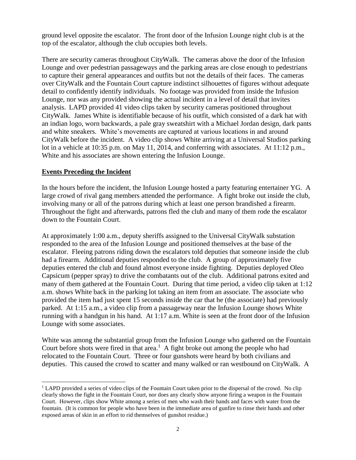ground level opposite the escalator. The front door of the Infusion Lounge night club is at the top of the escalator, although the club occupies both levels.

There are security cameras throughout CityWalk. The cameras above the door of the Infusion Lounge and over pedestrian passageways and the parking areas are close enough to pedestrians to capture their general appearances and outfits but not the details of their faces. The cameras over CityWalk and the Fountain Court capture indistinct silhouettes of figures without adequate detail to confidently identify individuals. No footage was provided from inside the Infusion Lounge, nor was any provided showing the actual incident in a level of detail that invites analysis. LAPD provided 41 video clips taken by security cameras positioned throughout CityWalk. James White is identifiable because of his outfit, which consisted of a dark hat with an indian logo, worn backwards, a pale gray sweatshirt with a Michael Jordan design, dark pants and white sneakers. White's movements are captured at various locations in and around CityWalk before the incident. A video clip shows White arriving at a Universal Studios parking lot in a vehicle at 10:35 p.m. on May 11, 2014, and conferring with associates. At 11:12 p.m., White and his associates are shown entering the Infusion Lounge.

#### **Events Preceding the Incident**

In the hours before the incident, the Infusion Lounge hosted a party featuring entertainer YG. A large crowd of rival gang members attended the performance. A fight broke out inside the club, involving many or all of the patrons during which at least one person brandished a firearm. Throughout the fight and afterwards, patrons fled the club and many of them rode the escalator down to the Fountain Court.

At approximately 1:00 a.m., deputy sheriffs assigned to the Universal CityWalk substation responded to the area of the Infusion Lounge and positioned themselves at the base of the escalator. Fleeing patrons riding down the escalators told deputies that someone inside the club had a firearm. Additional deputies responded to the club. A group of approximately five deputies entered the club and found almost everyone inside fighting. Deputies deployed Oleo Capsicum (pepper spray) to drive the combatants out of the club. Additional patrons exited and many of them gathered at the Fountain Court. During that time period, a video clip taken at 1:12 a.m. shows White back in the parking lot taking an item from an associate. The associate who provided the item had just spent 15 seconds inside the car that he (the associate) had previously parked. At 1:15 a.m., a video clip from a passageway near the Infusion Lounge shows White running with a handgun in his hand. At 1:17 a.m. White is seen at the front door of the Infusion Lounge with some associates.

White was among the substantial group from the Infusion Lounge who gathered on the Fountain Court before shots were fired in that area.<sup>1</sup> A fight broke out among the people who had relocated to the Fountain Court. Three or four gunshots were heard by both civilians and deputies. This caused the crowd to scatter and many walked or ran westbound on CityWalk. A

<sup>&</sup>lt;sup>1</sup> LAPD provided a series of video clips of the Fountain Court taken prior to the dispersal of the crowd. No clip clearly shows the fight in the Fountain Court, nor does any clearly show anyone firing a weapon in the Fountain Court. However, clips show White among a series of men who wash their hands and faces with water from the fountain. (It is common for people who have been in the immediate area of gunfire to rinse their hands and other exposed areas of skin in an effort to rid themselves of gunshot residue.)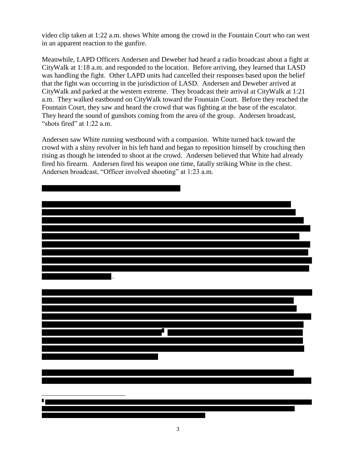video clip taken at 1:22 a.m. shows White among the crowd in the Fountain Court who ran west in an apparent reaction to the gunfire.

Meanwhile, LAPD Officers Andersen and Deweber had heard a radio broadcast about a fight at CityWalk at 1:18 a.m. and responded to the location. Before arriving, they learned that LASD was handling the fight. Other LAPD units had cancelled their responses based upon the belief that the fight was occurring in the jurisdiction of LASD. Andersen and Deweber arrived at CityWalk and parked at the western extreme. They broadcast their arrival at CityWalk at 1:21 a.m. They walked eastbound on CityWalk toward the Fountain Court. Before they reached the Fountain Court, they saw and heard the crowd that was fighting at the base of the escalator. They heard the sound of gunshots coming from the area of the group. Andersen broadcast, "shots fired" at 1:22 a.m.

Andersen saw White running westbound with a companion. White turned back toward the crowd with a shiny revolver in his left hand and began to reposition himself by crouching then rising as though he intended to shoot at the crowd. Andersen believed that White had already fired his firearm. Andersen fired his weapon one time, fatally striking White in the chest. Andersen broadcast, "Officer involved shooting" at 1:23 a.m.

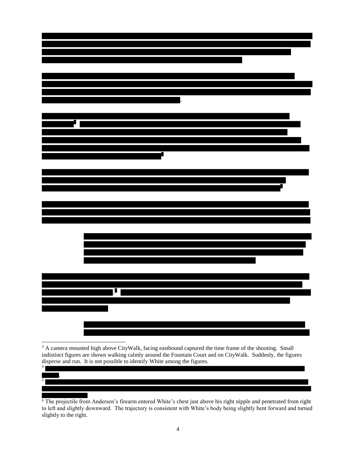<sup>3</sup> A camera mounted high above CityWalk, facing eastbound captured the time frame of the shooting. Small indistinct figures are shown walking calmly around the Fountain Court and on CityWalk. Suddenly, the figures disperse and run. It is not possible to identify White among the figures. 4

.

5

<sup>6</sup> The projectile from Andersen's firearm entered White's chest just above his right nipple and penetrated from right to left and slightly downward. The trajectory is consistent with White's body being slightly bent forward and turned slightly to the right.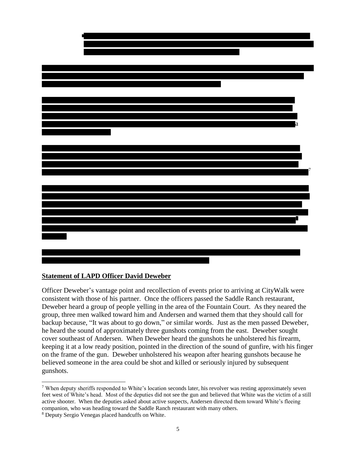

#### **Statement of LAPD Officer David Deweber**

Officer Deweber's vantage point and recollection of events prior to arriving at CityWalk were consistent with those of his partner. Once the officers passed the Saddle Ranch restaurant, Deweber heard a group of people yelling in the area of the Fountain Court. As they neared the group, three men walked toward him and Andersen and warned them that they should call for backup because, "It was about to go down," or similar words. Just as the men passed Deweber, he heard the sound of approximately three gunshots coming from the east. Deweber sought cover southeast of Andersen. When Deweber heard the gunshots he unholstered his firearm, keeping it at a low ready position, pointed in the direction of the sound of gunfire, with his finger on the frame of the gun. Deweber unholstered his weapon after hearing gunshots because he believed someone in the area could be shot and killed or seriously injured by subsequent gunshots.

<sup>7</sup> When deputy sheriffs responded to White's location seconds later, his revolver was resting approximately seven feet west of White's head. Most of the deputies did not see the gun and believed that White was the victim of a still active shooter. When the deputies asked about active suspects, Andersen directed them toward White's fleeing companion, who was heading toward the Saddle Ranch restaurant with many others.

<sup>8</sup> Deputy Sergio Venegas placed handcuffs on White.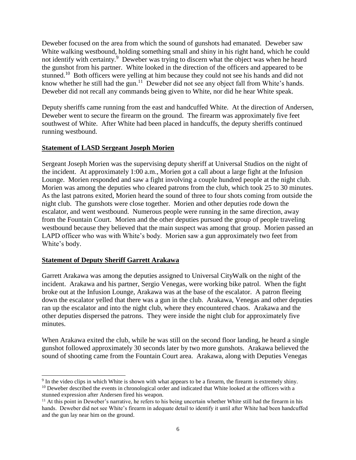Deweber focused on the area from which the sound of gunshots had emanated. Deweber saw White walking westbound, holding something small and shiny in his right hand, which he could not identify with certainty.<sup>9</sup> Deweber was trying to discern what the object was when he heard the gunshot from his partner. White looked in the direction of the officers and appeared to be stunned.<sup>10</sup> Both officers were yelling at him because they could not see his hands and did not know whether he still had the gun.<sup>11</sup> Deweber did not see any object fall from White's hands. Deweber did not recall any commands being given to White, nor did he hear White speak.

Deputy sheriffs came running from the east and handcuffed White. At the direction of Andersen, Deweber went to secure the firearm on the ground. The firearm was approximately five feet southwest of White. After White had been placed in handcuffs, the deputy sheriffs continued running westbound.

#### **Statement of LASD Sergeant Joseph Morien**

Sergeant Joseph Morien was the supervising deputy sheriff at Universal Studios on the night of the incident. At approximately 1:00 a.m., Morien got a call about a large fight at the Infusion Lounge. Morien responded and saw a fight involving a couple hundred people at the night club. Morien was among the deputies who cleared patrons from the club, which took 25 to 30 minutes. As the last patrons exited, Morien heard the sound of three to four shots coming from outside the night club. The gunshots were close together. Morien and other deputies rode down the escalator, and went westbound. Numerous people were running in the same direction, away from the Fountain Court. Morien and the other deputies pursued the group of people traveling westbound because they believed that the main suspect was among that group. Morien passed an LAPD officer who was with White's body. Morien saw a gun approximately two feet from White's body.

### **Statement of Deputy Sheriff Garrett Arakawa**

Garrett Arakawa was among the deputies assigned to Universal CityWalk on the night of the incident. Arakawa and his partner, Sergio Venegas, were working bike patrol. When the fight broke out at the Infusion Lounge, Arakawa was at the base of the escalator. A patron fleeing down the escalator yelled that there was a gun in the club. Arakawa, Venegas and other deputies ran up the escalator and into the night club, where they encountered chaos. Arakawa and the other deputies dispersed the patrons. They were inside the night club for approximately five minutes.

When Arakawa exited the club, while he was still on the second floor landing, he heard a single gunshot followed approximately 30 seconds later by two more gunshots. Arakawa believed the sound of shooting came from the Fountain Court area. Arakawa, along with Deputies Venegas

<sup>&</sup>lt;sup>9</sup> In the video clips in which White is shown with what appears to be a firearm, the firearm is extremely shiny. <sup>10</sup> Deweber described the events in chronological order and indicated that White looked at the officers with a stunned expression after Andersen fired his weapon.

 $11$  At this point in Deweber's narrative, he refers to his being uncertain whether White still had the firearm in his hands. Deweber did not see White's firearm in adequate detail to identify it until after White had been handcuffed and the gun lay near him on the ground.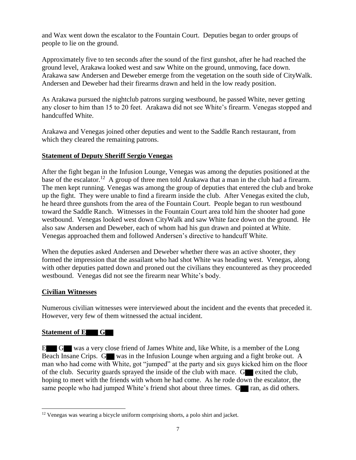and Wax went down the escalator to the Fountain Court. Deputies began to order groups of people to lie on the ground.

Approximately five to ten seconds after the sound of the first gunshot, after he had reached the ground level, Arakawa looked west and saw White on the ground, unmoving, face down. Arakawa saw Andersen and Deweber emerge from the vegetation on the south side of CityWalk. Andersen and Deweber had their firearms drawn and held in the low ready position.

As Arakawa pursued the nightclub patrons surging westbound, he passed White, never getting any closer to him than 15 to 20 feet. Arakawa did not see White's firearm. Venegas stopped and handcuffed White.

Arakawa and Venegas joined other deputies and went to the Saddle Ranch restaurant, from which they cleared the remaining patrons.

### **Statement of Deputy Sheriff Sergio Venegas**

After the fight began in the Infusion Lounge, Venegas was among the deputies positioned at the base of the escalator.<sup>12</sup> A group of three men told Arakawa that a man in the club had a firearm. The men kept running. Venegas was among the group of deputies that entered the club and broke up the fight. They were unable to find a firearm inside the club. After Venegas exited the club, he heard three gunshots from the area of the Fountain Court. People began to run westbound toward the Saddle Ranch. Witnesses in the Fountain Court area told him the shooter had gone westbound. Venegas looked west down CityWalk and saw White face down on the ground. He also saw Andersen and Deweber, each of whom had his gun drawn and pointed at White. Venegas approached them and followed Andersen's directive to handcuff White.

When the deputies asked Andersen and Deweber whether there was an active shooter, they formed the impression that the assailant who had shot White was heading west. Venegas, along with other deputies patted down and proned out the civilians they encountered as they proceeded westbound. Venegas did not see the firearm near White's body.

## **Civilian Witnesses**

Numerous civilian witnesses were interviewed about the incident and the events that preceded it. However, very few of them witnessed the actual incident.

## **Statement of E G**

l

E G was a very close friend of James White and, like White, is a member of the Long Beach Insane Crips. G was in the Infusion Lounge when arguing and a fight broke out. A man who had come with White, got "jumped" at the party and six guys kicked him on the floor of the club. Security guards sprayed the inside of the club with mace.  $G$  exited the club, hoping to meet with the friends with whom he had come. As he rode down the escalator, the same people who had jumped White's friend shot about three times.  $G_{\text{max}}$  ran, as did others.

<sup>&</sup>lt;sup>12</sup> Venegas was wearing a bicycle uniform comprising shorts, a polo shirt and jacket.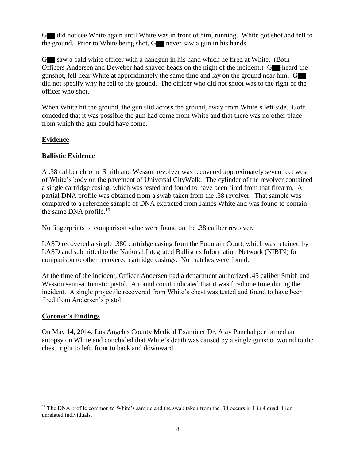G did not see White again until White was in front of him, running. White got shot and fell to the ground. Prior to White being shot, G never saw a gun in his hands.

G saw a bald white officer with a handgun in his hand which he fired at White. (Both Officers Andersen and Deweber had shaved heads on the night of the incident.) G heard the gunshot, fell near White at approximately the same time and lay on the ground near him. G did not specify why he fell to the ground. The officer who did not shoot was to the right of the officer who shot.

When White hit the ground, the gun slid across the ground, away from White's left side. Goff conceded that it was possible the gun had come from White and that there was no other place from which the gun could have come.

### **Evidence**

### **Ballistic Evidence**

A .38 caliber chrome Smith and Wesson revolver was recovered approximately seven feet west of White's body on the pavement of Universal CityWalk. The cylinder of the revolver contained a single cartridge casing, which was tested and found to have been fired from that firearm. A partial DNA profile was obtained from a swab taken from the .38 revolver. That sample was compared to a reference sample of DNA extracted from James White and was found to contain the same DNA profile.<sup>13</sup>

No fingerprints of comparison value were found on the .38 caliber revolver.

LASD recovered a single .380 cartridge casing from the Fountain Court, which was retained by LASD and submitted to the National Integrated Ballistics Information Network (NIBIN) for comparison to other recovered cartridge casings. No matches were found.

At the time of the incident, Officer Andersen had a department authorized .45 caliber Smith and Wesson semi-automatic pistol. A round count indicated that it was fired one time during the incident. A single projectile recovered from White's chest was tested and found to have been fired from Andersen's pistol.

### **Coroner's Findings**

On May 14, 2014, Los Angeles County Medical Examiner Dr. Ajay Panchal performed an autopsy on White and concluded that White's death was caused by a single gunshot wound to the chest, right to left, front to back and downward.

<sup>&</sup>lt;sup>13</sup> The DNA profile common to White's sample and the swab taken from the .38 occurs in 1 in 4 quadrillion unrelated individuals.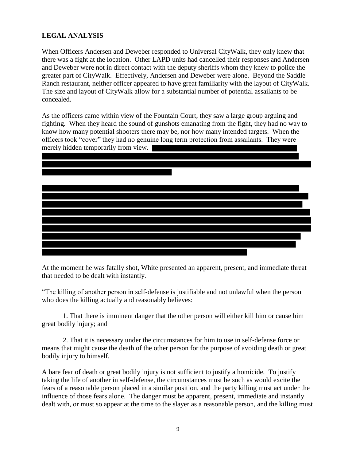### **LEGAL ANALYSIS**

When Officers Andersen and Deweber responded to Universal CityWalk, they only knew that there was a fight at the location. Other LAPD units had cancelled their responses and Andersen and Deweber were not in direct contact with the deputy sheriffs whom they knew to police the greater part of CityWalk. Effectively, Andersen and Deweber were alone. Beyond the Saddle Ranch restaurant, neither officer appeared to have great familiarity with the layout of CityWalk. The size and layout of CityWalk allow for a substantial number of potential assailants to be concealed.

As the officers came within view of the Fountain Court, they saw a large group arguing and fighting. When they heard the sound of gunshots emanating from the fight, they had no way to know how many potential shooters there may be, nor how many intended targets. When the officers took "cover" they had no genuine long term protection from assailants. They were merely hidden temporarily from view.



At the moment he was fatally shot, White presented an apparent, present, and immediate threat that needed to be dealt with instantly.

"The killing of another person in self-defense is justifiable and not unlawful when the person who does the killing actually and reasonably believes:

1. That there is imminent danger that the other person will either kill him or cause him great bodily injury; and

2. That it is necessary under the circumstances for him to use in self-defense force or means that might cause the death of the other person for the purpose of avoiding death or great bodily injury to himself.

A bare fear of death or great bodily injury is not sufficient to justify a homicide. To justify taking the life of another in self-defense, the circumstances must be such as would excite the fears of a reasonable person placed in a similar position, and the party killing must act under the influence of those fears alone. The danger must be apparent, present, immediate and instantly dealt with, or must so appear at the time to the slayer as a reasonable person, and the killing must